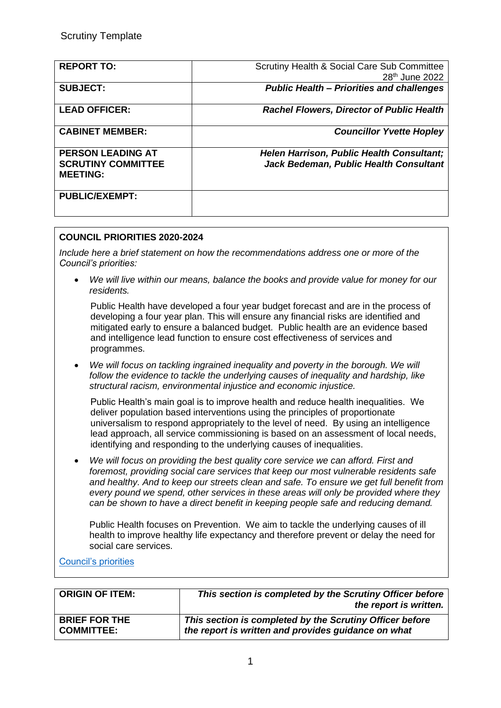| <b>REPORT TO:</b>                            | Scrutiny Health & Social Care Sub Committee<br>28 <sup>th</sup> June 2022 |
|----------------------------------------------|---------------------------------------------------------------------------|
| <b>SUBJECT:</b>                              | <b>Public Health - Priorities and challenges</b>                          |
| <b>LEAD OFFICER:</b>                         | <b>Rachel Flowers, Director of Public Health</b>                          |
| <b>CABINET MEMBER:</b>                       | <b>Councillor Yvette Hopley</b>                                           |
| <b>PERSON LEADING AT</b>                     | Helen Harrison, Public Health Consultant;                                 |
| <b>SCRUTINY COMMITTEE</b><br><b>MEETING:</b> | Jack Bedeman, Public Health Consultant                                    |
| <b>PUBLIC/EXEMPT:</b>                        |                                                                           |

## **COUNCIL PRIORITIES 2020-2024**

*Include here a brief statement on how the recommendations address one or more of the Council's priorities:* 

• *We will live within our means, balance the books and provide value for money for our residents.*

Public Health have developed a four year budget forecast and are in the process of developing a four year plan. This will ensure any financial risks are identified and mitigated early to ensure a balanced budget. Public health are an evidence based and intelligence lead function to ensure cost effectiveness of services and programmes.

• *We will focus on tackling ingrained inequality and poverty in the borough. We will follow the evidence to tackle the underlying causes of inequality and hardship, like structural racism, environmental injustice and economic injustice.*

Public Health's main goal is to improve health and reduce health inequalities. We deliver population based interventions using the principles of proportionate universalism to respond appropriately to the level of need. By using an intelligence lead approach, all service commissioning is based on an assessment of local needs, identifying and responding to the underlying causes of inequalities.

• *We will focus on providing the best quality core service we can afford. First and foremost, providing social care services that keep our most vulnerable residents safe and healthy. And to keep our streets clean and safe. To ensure we get full benefit from every pound we spend, other services in these areas will only be provided where they can be shown to have a direct benefit in keeping people safe and reducing demand.*

Public Health focuses on Prevention. We aim to tackle the underlying causes of ill health to improve healthy life expectancy and therefore prevent or delay the need for social care services.

#### [Council's priorities](https://democracy.croydon.gov.uk/documents/s26109/Appendix%20D%20-%20Administration%20Priorities%20for%20the%20Croydon%20Renewal%20Plan.pdf)

| <b>ORIGIN OF ITEM:</b> | This section is completed by the Scrutiny Officer before<br>the report is written. |
|------------------------|------------------------------------------------------------------------------------|
| <b>BRIEF FOR THE</b>   | This section is completed by the Scrutiny Officer before                           |
| <b>COMMITTEE:</b>      | the report is written and provides guidance on what                                |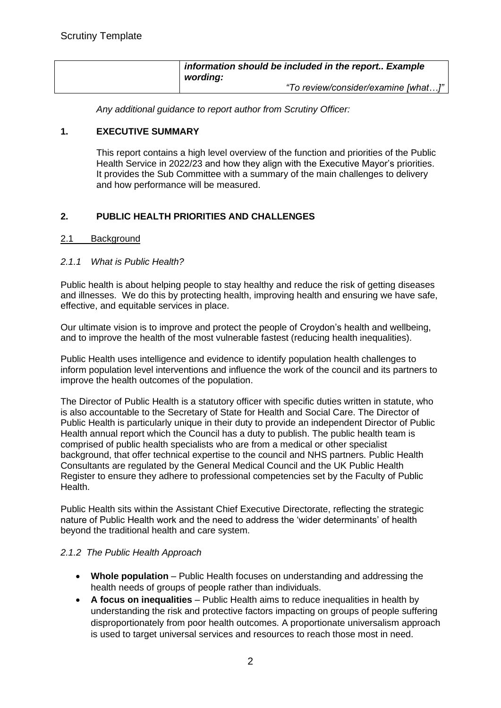| information should be included in the report Example<br>wording: |
|------------------------------------------------------------------|
| "To review/consider/examine [what]"                              |

*Any additional guidance to report author from Scrutiny Officer:*

#### **1. EXECUTIVE SUMMARY**

This report contains a high level overview of the function and priorities of the Public Health Service in 2022/23 and how they align with the Executive Mayor's priorities. It provides the Sub Committee with a summary of the main challenges to delivery and how performance will be measured.

## **2. PUBLIC HEALTH PRIORITIES AND CHALLENGES**

#### 2.1 Background

#### *2.1.1 What is Public Health?*

Public health is about helping people to stay healthy and reduce the risk of getting diseases and illnesses. We do this by protecting health, improving health and ensuring we have safe, effective, and equitable services in place.

Our ultimate vision is to improve and protect the people of Croydon's health and wellbeing, and to improve the health of the most vulnerable fastest (reducing health inequalities).

Public Health uses intelligence and evidence to identify population health challenges to inform population level interventions and influence the work of the council and its partners to improve the health outcomes of the population.

The Director of Public Health is a statutory officer with specific duties written in statute, who is also accountable to the Secretary of State for Health and Social Care. The Director of Public Health is particularly unique in their duty to provide an independent Director of Public Health annual report which the Council has a duty to publish. The public health team is comprised of public health specialists who are from a medical or other specialist background, that offer technical expertise to the council and NHS partners. Public Health Consultants are regulated by the General Medical Council and the UK Public Health Register to ensure they adhere to professional competencies set by the Faculty of Public Health.

Public Health sits within the Assistant Chief Executive Directorate, reflecting the strategic nature of Public Health work and the need to address the 'wider determinants' of health beyond the traditional health and care system.

#### *2.1.2 The Public Health Approach*

- **Whole population** Public Health focuses on understanding and addressing the health needs of groups of people rather than individuals.
- **A focus on inequalities** Public Health aims to reduce inequalities in health by understanding the risk and protective factors impacting on groups of people suffering disproportionately from poor health outcomes. A proportionate universalism approach is used to target universal services and resources to reach those most in need.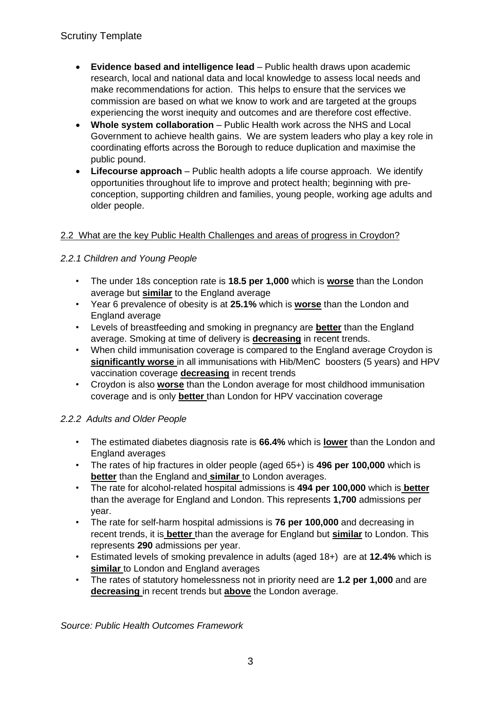- **Evidence based and intelligence lead** Public health draws upon academic research, local and national data and local knowledge to assess local needs and make recommendations for action. This helps to ensure that the services we commission are based on what we know to work and are targeted at the groups experiencing the worst inequity and outcomes and are therefore cost effective.
- **Whole system collaboration** Public Health work across the NHS and Local Government to achieve health gains. We are system leaders who play a key role in coordinating efforts across the Borough to reduce duplication and maximise the public pound.
- **Lifecourse approach**  Public health adopts a life course approach. We identify opportunities throughout life to improve and protect health; beginning with preconception, supporting children and families, young people, working age adults and older people.

## 2.2 What are the key Public Health Challenges and areas of progress in Croydon?

## *2.2.1 Children and Young People*

- The under 18s conception rate is **18.5 per 1,000** which is **worse** than the London average but **similar** to the England average
- Year 6 prevalence of obesity is at **25.1%** which is **worse** than the London and England average
- Levels of breastfeeding and smoking in pregnancy are **better** than the England average. Smoking at time of delivery is **decreasing** in recent trends.
- When child immunisation coverage is compared to the England average Croydon is **significantly worse** in all immunisations with Hib/MenC boosters (5 years) and HPV vaccination coverage **decreasing** in recent trends
- Croydon is also **worse** than the London average for most childhood immunisation coverage and is only **better** than London for HPV vaccination coverage

### *2.2.2 Adults and Older People*

- The estimated diabetes diagnosis rate is **66.4%** which is **lower** than the London and England averages
- The rates of hip fractures in older people (aged 65+) is **496 per 100,000** which is **better** than the England and **similar** to London averages.
- The rate for alcohol-related hospital admissions is **494 per 100,000** which is **better**  than the average for England and London. This represents **1,700** admissions per year.
- The rate for self-harm hospital admissions is **76 per 100,000** and decreasing in recent trends, it is **better** than the average for England but **similar** to London. This represents **290** admissions per year.
- Estimated levels of smoking prevalence in adults (aged 18+) are at **12.4%** which is **similar** to London and England averages
- The rates of statutory homelessness not in priority need are **1.2 per 1,000** and are **decreasing** in recent trends but **above** the London average.

*Source: Public Health Outcomes Framework*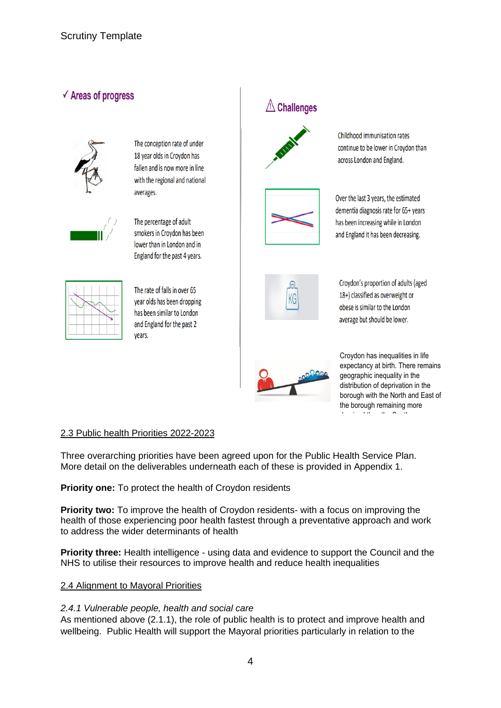# $\checkmark$  Areas of progress



The conception rate of under 18 year olds in Croydon has fallen and is now more in line with the regional and national averages.



The percentage of adult smokers in Croydon has been lower than in London and in England for the past 4 years.



The rate of falls in over 65 year olds has been dropping has been similar to London and England for the past 2 years.

# $\triangle$  Challenges



Childhood immunisation rates continue to be lower in Croydon than across London and England.



Over the last 3 years, the estimated dementia diagnosis rate for 65+ years has been increasing while in London and England it has been decreasing.



Croydon's proportion of adults (aged 18+) classified as overweight or obese is similar to the London average but should be lower.



Croydon has inequalities in life expectancy at birth. There remains geographic inequality in the distribution of deprivation in the borough with the North and East of the borough remaining more deprived than the South.

### 2.3 Public health Priorities 2022-2023

Three overarching priorities have been agreed upon for the Public Health Service Plan. More detail on the deliverables underneath each of these is provided in Appendix 1.

### **Priority one:** To protect the health of Croydon residents

**Priority two:** To improve the health of Croydon residents- with a focus on improving the health of those experiencing poor health fastest through a preventative approach and work to address the wider determinants of health

**Priority three:** Health intelligence - using data and evidence to support the Council and the NHS to utilise their resources to improve health and reduce health inequalities

### 2.4 Alignment to Mayoral Priorities

#### *2.4.1 Vulnerable people, health and social care*

As mentioned above (2.1.1), the role of public health is to protect and improve health and wellbeing. Public Health will support the Mayoral priorities particularly in relation to the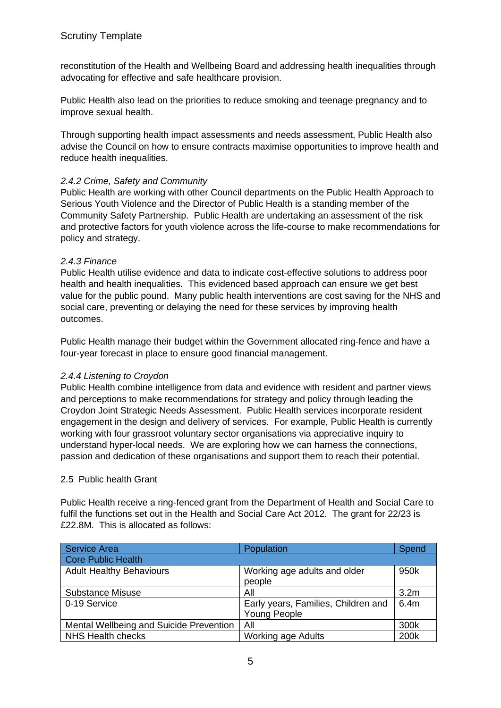reconstitution of the Health and Wellbeing Board and addressing health inequalities through advocating for effective and safe healthcare provision.

Public Health also lead on the priorities to reduce smoking and teenage pregnancy and to improve sexual health.

Through supporting health impact assessments and needs assessment, Public Health also advise the Council on how to ensure contracts maximise opportunities to improve health and reduce health inequalities.

### *2.4.2 Crime, Safety and Community*

Public Health are working with other Council departments on the Public Health Approach to Serious Youth Violence and the Director of Public Health is a standing member of the Community Safety Partnership. Public Health are undertaking an assessment of the risk and protective factors for youth violence across the life-course to make recommendations for policy and strategy.

#### *2.4.3 Finance*

Public Health utilise evidence and data to indicate cost-effective solutions to address poor health and health inequalities. This evidenced based approach can ensure we get best value for the public pound. Many public health interventions are cost saving for the NHS and social care, preventing or delaying the need for these services by improving health outcomes.

Public Health manage their budget within the Government allocated ring-fence and have a four-year forecast in place to ensure good financial management.

### *2.4.4 Listening to Croydon*

Public Health combine intelligence from data and evidence with resident and partner views and perceptions to make recommendations for strategy and policy through leading the Croydon Joint Strategic Needs Assessment. Public Health services incorporate resident engagement in the design and delivery of services. For example, Public Health is currently working with four grassroot voluntary sector organisations via appreciative inquiry to understand hyper-local needs. We are exploring how we can harness the connections, passion and dedication of these organisations and support them to reach their potential.

### 2.5 Public health Grant

Public Health receive a ring-fenced grant from the Department of Health and Social Care to fulfil the functions set out in the Health and Social Care Act 2012. The grant for 22/23 is £22.8M. This is allocated as follows:

| <b>Service Area</b>                     | Population                                                 | Spend            |
|-----------------------------------------|------------------------------------------------------------|------------------|
| Core Public Health                      |                                                            |                  |
| <b>Adult Healthy Behaviours</b>         | Working age adults and older<br>people                     | 950k             |
| <b>Substance Misuse</b>                 | All                                                        | 3.2 <sub>m</sub> |
| 0-19 Service                            | Early years, Families, Children and<br><b>Young People</b> | 6.4m             |
| Mental Wellbeing and Suicide Prevention | All                                                        | 300k             |
| <b>NHS Health checks</b>                | <b>Working age Adults</b>                                  | 200k             |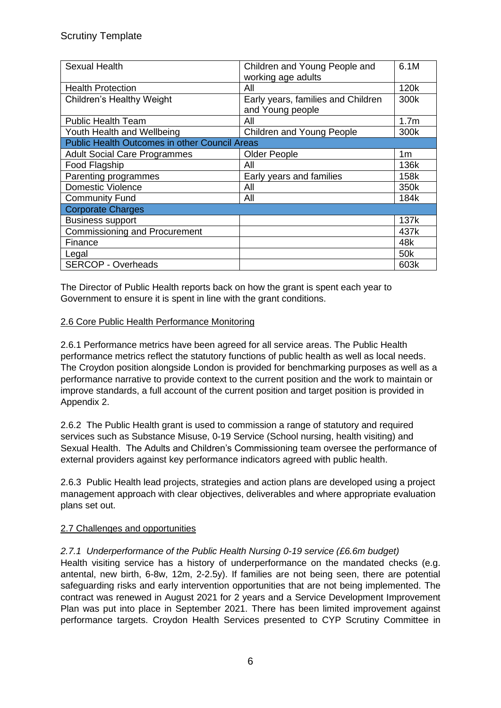| Sexual Health                                        | Children and Young People and<br>working age adults    | 6.1M             |
|------------------------------------------------------|--------------------------------------------------------|------------------|
| <b>Health Protection</b>                             | All                                                    | 120k             |
| <b>Children's Healthy Weight</b>                     | Early years, families and Children<br>and Young people | 300k             |
| <b>Public Health Team</b>                            | All                                                    | 1.7 <sub>m</sub> |
| Youth Health and Wellbeing                           | Children and Young People                              | 300k             |
| <b>Public Health Outcomes in other Council Areas</b> |                                                        |                  |
| <b>Adult Social Care Programmes</b>                  | <b>Older People</b>                                    | 1 <sub>m</sub>   |
| Food Flagship                                        | All                                                    | 136k             |
| Parenting programmes                                 | Early years and families                               | 158k             |
| <b>Domestic Violence</b>                             | All                                                    | 350k             |
| <b>Community Fund</b>                                | All                                                    | 184k             |
| <b>Corporate Charges</b>                             |                                                        |                  |
| <b>Business support</b>                              |                                                        | 137k             |
| <b>Commissioning and Procurement</b>                 |                                                        | 437k             |
| Finance                                              |                                                        | 48k              |
| Legal                                                |                                                        | 50 <sub>k</sub>  |
| <b>SERCOP - Overheads</b>                            |                                                        | 603k             |

The Director of Public Health reports back on how the grant is spent each year to Government to ensure it is spent in line with the grant conditions.

### 2.6 Core Public Health Performance Monitoring

2.6.1 Performance metrics have been agreed for all service areas. The Public Health performance metrics reflect the statutory functions of public health as well as local needs. The Croydon position alongside London is provided for benchmarking purposes as well as a performance narrative to provide context to the current position and the work to maintain or improve standards, a full account of the current position and target position is provided in Appendix 2.

2.6.2 The Public Health grant is used to commission a range of statutory and required services such as Substance Misuse, 0-19 Service (School nursing, health visiting) and Sexual Health. The Adults and Children's Commissioning team oversee the performance of external providers against key performance indicators agreed with public health.

2.6.3 Public Health lead projects, strategies and action plans are developed using a project management approach with clear objectives, deliverables and where appropriate evaluation plans set out.

### 2.7 Challenges and opportunities

### *2.7.1 Underperformance of the Public Health Nursing 0-19 service (£6.6m budget)*

Health visiting service has a history of underperformance on the mandated checks (e.g. antental, new birth, 6-8w, 12m, 2-2.5y). If families are not being seen, there are potential safeguarding risks and early intervention opportunities that are not being implemented. The contract was renewed in August 2021 for 2 years and a Service Development Improvement Plan was put into place in September 2021. There has been limited improvement against performance targets. Croydon Health Services presented to CYP Scrutiny Committee in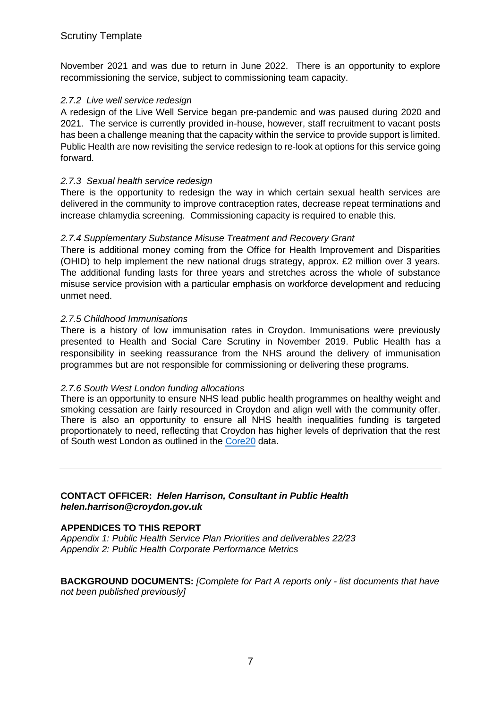November 2021 and was due to return in June 2022. There is an opportunity to explore recommissioning the service, subject to commissioning team capacity.

#### *2.7.2 Live well service redesign*

A redesign of the Live Well Service began pre-pandemic and was paused during 2020 and 2021. The service is currently provided in-house, however, staff recruitment to vacant posts has been a challenge meaning that the capacity within the service to provide support is limited. Public Health are now revisiting the service redesign to re-look at options for this service going forward.

#### *2.7.3 Sexual health service redesign*

There is the opportunity to redesign the way in which certain sexual health services are delivered in the community to improve contraception rates, decrease repeat terminations and increase chlamydia screening. Commissioning capacity is required to enable this.

#### *2.7.4 Supplementary Substance Misuse Treatment and Recovery Grant*

There is additional money coming from the Office for Health Improvement and Disparities (OHID) to help implement the new national drugs strategy, approx. £2 million over 3 years. The additional funding lasts for three years and stretches across the whole of substance misuse service provision with a particular emphasis on workforce development and reducing unmet need.

#### *2.7.5 Childhood Immunisations*

There is a history of low immunisation rates in Croydon. Immunisations were previously presented to Health and Social Care Scrutiny in November 2019. Public Health has a responsibility in seeking reassurance from the NHS around the delivery of immunisation programmes but are not responsible for commissioning or delivering these programs.

#### *2.7.6 South West London funding allocations*

There is an opportunity to ensure NHS lead public health programmes on healthy weight and smoking cessation are fairly resourced in Croydon and align well with the community offer. There is also an opportunity to ensure all NHS health inequalities funding is targeted proportionately to need, reflecting that Croydon has higher levels of deprivation that the rest of South west London as outlined in the [Core20](https://www.england.nhs.uk/about/equality/equality-hub/core20plus5/) data.

#### **CONTACT OFFICER:** *Helen Harrison, Consultant in Public Health helen.harrison@croydon.gov.uk*

#### **APPENDICES TO THIS REPORT**

*Appendix 1: Public Health Service Plan Priorities and deliverables 22/23 Appendix 2: Public Health Corporate Performance Metrics*

**BACKGROUND DOCUMENTS:** *[Complete for Part A reports only - list documents that have not been published previously]*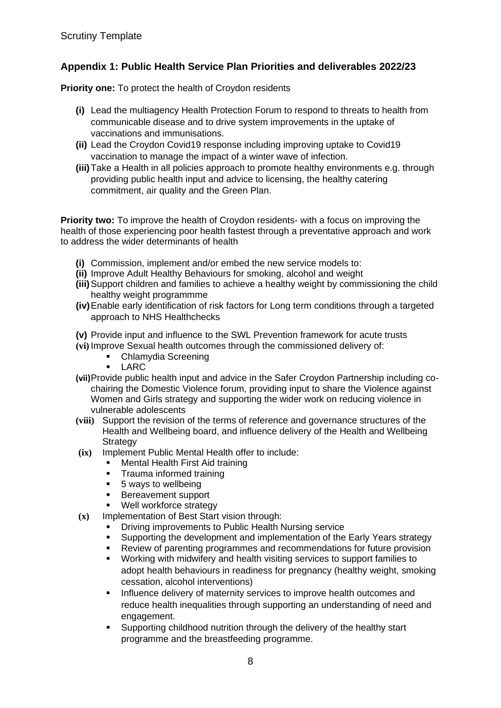## **Appendix 1: Public Health Service Plan Priorities and deliverables 2022/23**

**Priority one:** To protect the health of Croydon residents

- **(i)** Lead the multiagency Health Protection Forum to respond to threats to health from communicable disease and to drive system improvements in the uptake of vaccinations and immunisations.
- **(ii)** Lead the Croydon Covid19 response including improving uptake to Covid19 vaccination to manage the impact of a winter wave of infection.
- **(iii)**Take a Health in all policies approach to promote healthy environments e.g. through providing public health input and advice to licensing, the healthy catering commitment, air quality and the Green Plan.

**Priority two:** To improve the health of Croydon residents- with a focus on improving the health of those experiencing poor health fastest through a preventative approach and work to address the wider determinants of health

- **(i)** Commission, implement and/or embed the new service models to:
- **(ii)** Improve Adult Healthy Behaviours for smoking, alcohol and weight
- **(iii)**Support children and families to achieve a healthy weight by commissioning the child healthy weight programmme
- **(iv)**Enable early identification of risk factors for Long term conditions through a targeted approach to NHS Healthchecks
- **(v)** Provide input and influence to the SWL Prevention framework for acute trusts
- **(vi)** Improve Sexual health outcomes through the commissioned delivery of:
	- **E** Chlamydia Screening<br>**E** LARC
	- **LARC**
- **(vii)**Provide public health input and advice in the Safer Croydon Partnership including cochairing the Domestic Violence forum, providing input to share the Violence against Women and Girls strategy and supporting the wider work on reducing violence in vulnerable adolescents
- **(viii)** Support the revision of the terms of reference and governance structures of the Health and Wellbeing board, and influence delivery of the Health and Wellbeing **Strategy**
- **(ix)** Implement Public Mental Health offer to include:
	- **■** Mental Health First Aid training<br>■ Trauma informed training
	- Trauma informed training
	- 5 ways to wellbeing
	- Bereavement support
	- Well workforce strategy
- **(x)** Implementation of Best Start vision through:
	- **Driving improvements to Public Health Nursing service**
	- Supporting the development and implementation of the Early Years strategy
	- Review of parenting programmes and recommendations for future provision
	- Working with midwifery and health visiting services to support families to adopt health behaviours in readiness for pregnancy (healthy weight, smoking cessation, alcohol interventions)
	- Influence delivery of maternity services to improve health outcomes and reduce health inequalities through supporting an understanding of need and engagement.
	- Supporting childhood nutrition through the delivery of the healthy start programme and the breastfeeding programme.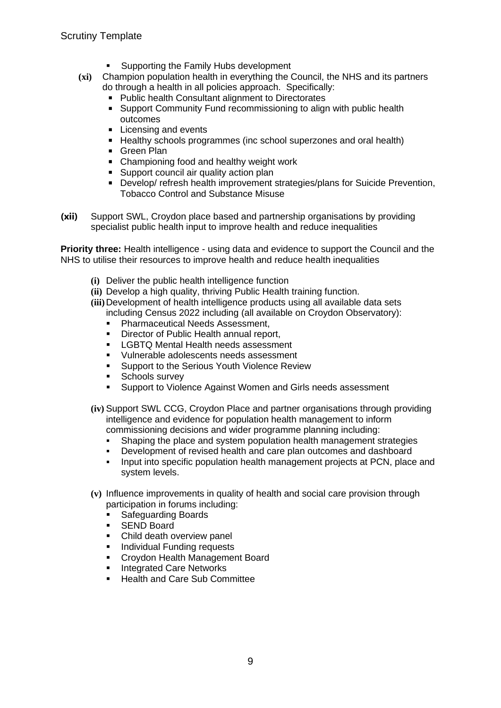- Supporting the Family Hubs development
- **(xi)** Champion population health in everything the Council, the NHS and its partners do through a health in all policies approach. Specifically:
	- Public health Consultant alignment to Directorates
	- Support Community Fund recommissioning to align with public health outcomes
	- Licensing and events
	- Healthy schools programmes (inc school superzones and oral health)
	- Green Plan
	- Championing food and healthy weight work
	- Support council air quality action plan
	- Develop/ refresh health improvement strategies/plans for Suicide Prevention, Tobacco Control and Substance Misuse
- **(xii)** Support SWL, Croydon place based and partnership organisations by providing specialist public health input to improve health and reduce inequalities

**Priority three:** Health intelligence - using data and evidence to support the Council and the NHS to utilise their resources to improve health and reduce health inequalities

- **(i)** Deliver the public health intelligence function
- **(ii)** Develop a high quality, thriving Public Health training function.
- **(iii)**Development of health intelligence products using all available data sets including Census 2022 including (all available on Croydon Observatory):
	- **Pharmaceutical Needs Assessment,**
	- Director of Public Health annual report,
	- **EXECTS Mental Health needs assessment**
	- Vulnerable adolescents needs assessment
	- Support to the Serious Youth Violence Review
	- **EXEC** Schools survey
	- **E** Support to Violence Against Women and Girls needs assessment
- **(iv)** Support SWL CCG, Croydon Place and partner organisations through providing intelligence and evidence for population health management to inform commissioning decisions and wider programme planning including:
	- **•** Shaping the place and system population health management strategies
	- Development of revised health and care plan outcomes and dashboard
	- Input into specific population health management projects at PCN, place and system levels.
- **(v)** Influence improvements in quality of health and social care provision through participation in forums including:
	- Safeguarding Boards
	- SEND Board
	- Child death overview panel
	- **Individual Funding requests**
	- Croydon Health Management Board
	- **Integrated Care Networks**
	- **Health and Care Sub Committee**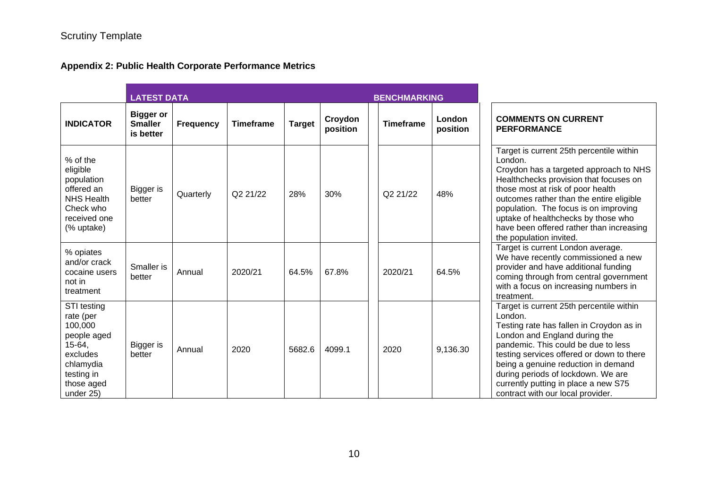# **Appendix 2: Public Health Corporate Performance Metrics**

|                                                                                                                                | <b>LATEST DATA</b><br><b>BENCHMARKING</b>       |                  |                  |               |                     |                  |                    |                                                                                                                                                                                                                                                                                                                                                                                 |
|--------------------------------------------------------------------------------------------------------------------------------|-------------------------------------------------|------------------|------------------|---------------|---------------------|------------------|--------------------|---------------------------------------------------------------------------------------------------------------------------------------------------------------------------------------------------------------------------------------------------------------------------------------------------------------------------------------------------------------------------------|
| <b>INDICATOR</b>                                                                                                               | <b>Bigger or</b><br><b>Smaller</b><br>is better | <b>Frequency</b> | <b>Timeframe</b> | <b>Target</b> | Croydon<br>position | <b>Timeframe</b> | London<br>position | <b>COMMENTS ON CURRENT</b><br><b>PERFORMANCE</b>                                                                                                                                                                                                                                                                                                                                |
| % of the<br>eligible<br>population<br>offered an<br><b>NHS Health</b><br>Check who<br>received one<br>(% uptake)               | Bigger is<br>better                             | Quarterly        | Q2 21/22         | 28%           | 30%                 | Q2 21/22         | 48%                | Target is current 25th percentile within<br>London.<br>Croydon has a targeted approach to NHS<br>Healthchecks provision that focuses on<br>those most at risk of poor health<br>outcomes rather than the entire eligible<br>population. The focus is on improving<br>uptake of healthchecks by those who<br>have been offered rather than increasing<br>the population invited. |
| % opiates<br>and/or crack<br>cocaine users<br>not in<br>treatment                                                              | Smaller is<br>better                            | Annual           | 2020/21          | 64.5%         | 67.8%               | 2020/21          | 64.5%              | Target is current London average.<br>We have recently commissioned a new<br>provider and have additional funding<br>coming through from central government<br>with a focus on increasing numbers in<br>treatment.                                                                                                                                                               |
| STI testing<br>rate (per<br>100,000<br>people aged<br>15-64,<br>excludes<br>chlamydia<br>testing in<br>those aged<br>under 25) | Bigger is<br>better                             | Annual           | 2020             | 5682.6        | 4099.1              | 2020             | 9,136.30           | Target is current 25th percentile within<br>London.<br>Testing rate has fallen in Croydon as in<br>London and England during the<br>pandemic. This could be due to less<br>testing services offered or down to there<br>being a genuine reduction in demand<br>during periods of lockdown. We are<br>currently putting in place a new S75<br>contract with our local provider.  |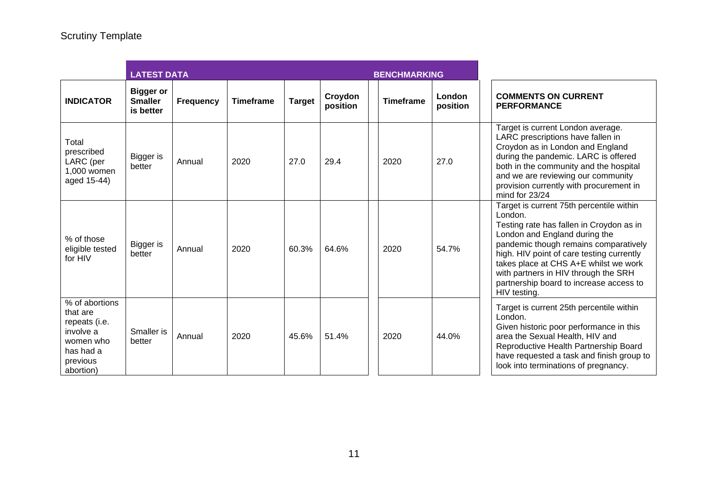|                                                                                                             | <b>LATEST DATA</b><br><b>BENCHMARKING</b>       |           |                  |               |                     |                  |                           |                                                                                                                                                                                                                                                                                                                                                                    |
|-------------------------------------------------------------------------------------------------------------|-------------------------------------------------|-----------|------------------|---------------|---------------------|------------------|---------------------------|--------------------------------------------------------------------------------------------------------------------------------------------------------------------------------------------------------------------------------------------------------------------------------------------------------------------------------------------------------------------|
| <b>INDICATOR</b>                                                                                            | <b>Bigger or</b><br><b>Smaller</b><br>is better | Frequency | <b>Timeframe</b> | <b>Target</b> | Croydon<br>position | <b>Timeframe</b> | <b>London</b><br>position | <b>COMMENTS ON CURRENT</b><br><b>PERFORMANCE</b>                                                                                                                                                                                                                                                                                                                   |
| Total<br>prescribed<br>LARC (per<br>1,000 women<br>aged 15-44)                                              | Bigger is<br>better                             | Annual    | 2020             | 27.0          | 29.4                | 2020             | 27.0                      | Target is current London average.<br>LARC prescriptions have fallen in<br>Croydon as in London and England<br>during the pandemic. LARC is offered<br>both in the community and the hospital<br>and we are reviewing our community<br>provision currently with procurement in<br>mind for $23/24$                                                                  |
| % of those<br>eligible tested<br>for HIV                                                                    | Bigger is<br>better                             | Annual    | 2020             | 60.3%         | 64.6%               | 2020             | 54.7%                     | Target is current 75th percentile within<br>London.<br>Testing rate has fallen in Croydon as in<br>London and England during the<br>pandemic though remains comparatively<br>high. HIV point of care testing currently<br>takes place at CHS A+E whilst we work<br>with partners in HIV through the SRH<br>partnership board to increase access to<br>HIV testing. |
| % of abortions<br>that are<br>repeats (i.e.<br>involve a<br>women who<br>has had a<br>previous<br>abortion) | Smaller is<br>better                            | Annual    | 2020             | 45.6%         | 51.4%               | 2020             | 44.0%                     | Target is current 25th percentile within<br>London.<br>Given historic poor performance in this<br>area the Sexual Health, HIV and<br>Reproductive Health Partnership Board<br>have requested a task and finish group to<br>look into terminations of pregnancy.                                                                                                    |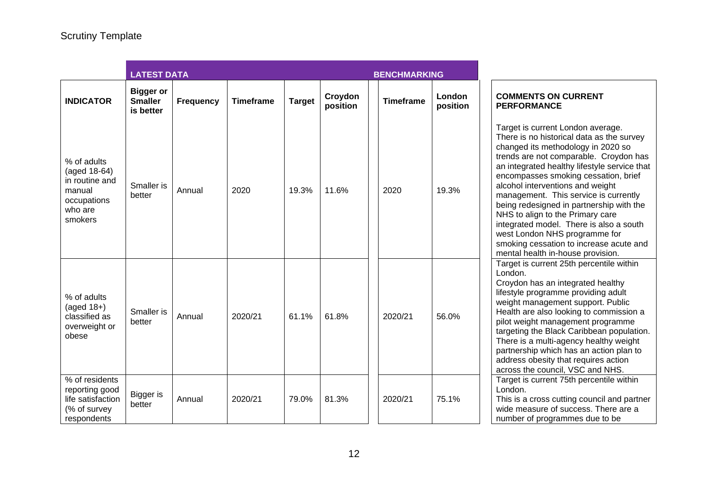|                                                                                              | <b>LATEST DATA</b>                              |                  |                  | <b>BENCHMARKING</b> |                     |  |                  |                    |  |
|----------------------------------------------------------------------------------------------|-------------------------------------------------|------------------|------------------|---------------------|---------------------|--|------------------|--------------------|--|
| <b>INDICATOR</b>                                                                             | <b>Bigger or</b><br><b>Smaller</b><br>is better | <b>Frequency</b> | <b>Timeframe</b> | <b>Target</b>       | Croydon<br>position |  | <b>Timeframe</b> | London<br>position |  |
| % of adults<br>(aged 18-64)<br>in routine and<br>manual<br>occupations<br>who are<br>smokers | Smaller is<br>better                            | Annual           | 2020             | 19.3%               | 11.6%               |  | 2020             | 19.3%              |  |
| % of adults<br>$(\text{aged }18+)$<br>classified as<br>overweight or<br>obese                | Smaller is<br>better                            | Annual           | 2020/21          | 61.1%               | 61.8%               |  | 2020/21          | 56.0%              |  |
| % of residents<br>reporting good<br>life satisfaction<br>(% of survey<br>respondents         | Bigger is<br>better                             | Annual           | 2020/21          | 79.0%               | 81.3%               |  | 2020/21          | 75.1%              |  |

#### **NTS ON CURRENT MANCE**

current London average. no historical data as the survey l its methodology in 2020 so re not comparable. Croydon has ated healthy lifestyle service that asses smoking cessation, brief nterventions and weight ment. This service is currently lesigned in partnership with the align to the Primary care ed model. There is also a south don NHS programme for cessation to increase acute and ealth in-house provision. current 25th percentile within has an integrated healthy programme providing adult anagement support. Public re also looking to commission a aht management programme the Black Caribbean population. a multi-agency healthy weight hip which has an action plan to obesity that requires action e council, VSC and NHS. current 75th percentile within cross cutting council and partner asure of success. There are a of programmes due to be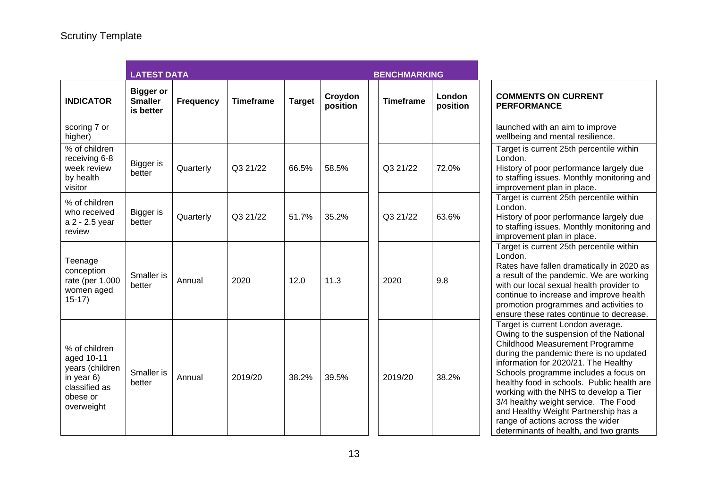|                                                                                                         | <b>LATEST DATA</b>                              |                  |                  |               | <b>BENCHMARKING</b> |                  |                    |                                                                                                                                                                                                                                                                                                                                                                                                                                                                                                    |
|---------------------------------------------------------------------------------------------------------|-------------------------------------------------|------------------|------------------|---------------|---------------------|------------------|--------------------|----------------------------------------------------------------------------------------------------------------------------------------------------------------------------------------------------------------------------------------------------------------------------------------------------------------------------------------------------------------------------------------------------------------------------------------------------------------------------------------------------|
| <b>INDICATOR</b>                                                                                        | <b>Bigger or</b><br><b>Smaller</b><br>is better | <b>Frequency</b> | <b>Timeframe</b> | <b>Target</b> | Croydon<br>position | <b>Timeframe</b> | London<br>position | <b>COMMENTS ON CURRENT</b><br><b>PERFORMANCE</b>                                                                                                                                                                                                                                                                                                                                                                                                                                                   |
| scoring 7 or<br>higher)                                                                                 |                                                 |                  |                  |               |                     |                  |                    | launched with an aim to improve<br>wellbeing and mental resilience.                                                                                                                                                                                                                                                                                                                                                                                                                                |
| % of children<br>receiving 6-8<br>week review<br>by health<br>visitor                                   | <b>Bigger</b> is<br>better                      | Quarterly        | Q3 21/22         | 66.5%         | 58.5%               | Q3 21/22         | 72.0%              | Target is current 25th percentile within<br>London.<br>History of poor performance largely due<br>to staffing issues. Monthly monitoring and<br>improvement plan in place.                                                                                                                                                                                                                                                                                                                         |
| % of children<br>who received<br>a 2 - 2.5 year<br>review                                               | Bigger is<br>better                             | Quarterly        | Q3 21/22         | 51.7%         | 35.2%               | Q3 21/22         | 63.6%              | Target is current 25th percentile within<br>London.<br>History of poor performance largely due<br>to staffing issues. Monthly monitoring and<br>improvement plan in place.                                                                                                                                                                                                                                                                                                                         |
| Teenage<br>conception<br>rate (per 1,000<br>women aged<br>$15-17$                                       | Smaller is<br>better                            | Annual           | 2020             | 12.0          | 11.3                | 2020             | 9.8                | Target is current 25th percentile within<br>London.<br>Rates have fallen dramatically in 2020 as<br>a result of the pandemic. We are working<br>with our local sexual health provider to<br>continue to increase and improve health<br>promotion programmes and activities to<br>ensure these rates continue to decrease.                                                                                                                                                                          |
| % of children<br>aged 10-11<br>years (children<br>in year 6)<br>classified as<br>obese or<br>overweight | Smaller is<br>better                            | Annual           | 2019/20          | 38.2%         | 39.5%               | 2019/20          | 38.2%              | Target is current London average.<br>Owing to the suspension of the National<br>Childhood Measurement Programme<br>during the pandemic there is no updated<br>information for 2020/21. The Healthy<br>Schools programme includes a focus on<br>healthy food in schools. Public health are<br>working with the NHS to develop a Tier<br>3/4 healthy weight service. The Food<br>and Healthy Weight Partnership has a<br>range of actions across the wider<br>determinants of health, and two grants |